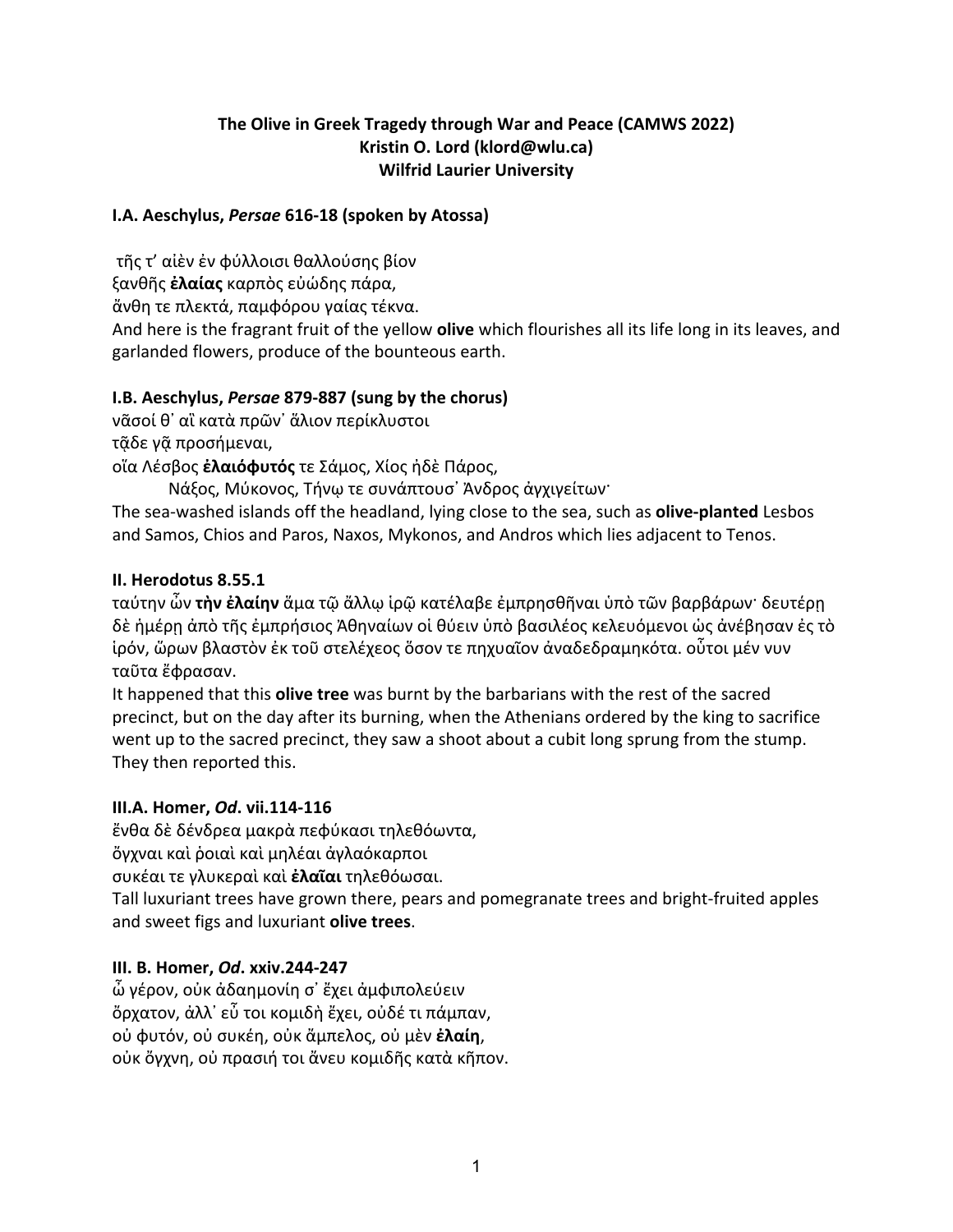## **The Olive in Greek Tragedy through War and Peace (CAMWS 2022) Kristin O. Lord (klord@wlu.ca) Wilfrid Laurier University**

#### **I.A. Aeschylus,** *Persae* **616-18 (spoken by Atossa)**

τῆς τ' αἰὲν ἐν φύλλοισι θαλλούσης βίον

ξανθῆς **ἐλαίας** καρπὸς εὐώδης πάρα,

ἄνθη τε πλεκτά, παμφόρου γαίας τέκνα.

And here is the fragrant fruit of the yellow **olive** which flourishes all its life long in its leaves, and garlanded flowers, produce of the bounteous earth.

## **I.B. Aeschylus,** *Persae* **879-887 (sung by the chorus)**

νᾶσοί θ᾽ αἳ κατὰ πρῶν᾽ ἅλιον περίκλυστοι

τᾷδε γᾷ προσήμεναι,

οἵα Λέσβος **ἐλαιόφυτός** τε Σάμος, Χίος ἠδὲ Πάρος,

Νάξος, Μύκονος, Τήνῳ τε συνάπτουσ᾽ Ἀνδρος ἀγχιγείτων·

The sea-washed islands off the headland, lying close to the sea, such as **olive-planted** Lesbos and Samos, Chios and Paros, Naxos, Mykonos, and Andros which lies adjacent to Tenos.

## **II. Herodotus 8.55.1**

ταύτην ὦν **τὴν ἐλαίην** ἅμα τῷ ἄλλῳ ἱρῷ κατέλαβε ἐμπρησθῆναι ὑπὸ τῶν βαρβάρων· δευτέρῃ δὲ ἡμέρη ἀπὸ τῆς ἐμπρήσιος Ἀθηναίων οἱ θύειν ὑπὸ βασιλέος κελευόμενοι ὡς ἀνέβησαν ἐς τὸ ἱρόν, ὥρων βλαστὸν ἐκ τοῦ στελέχεος ὅσον τε πηχυαῖον ἀναδεδραμηκότα. οὗτοι μέν νυν ταῦτα ἔφρασαν.

It happened that this **olive tree** was burnt by the barbarians with the rest of the sacred precinct, but on the day after its burning, when the Athenians ordered by the king to sacrifice went up to the sacred precinct, they saw a shoot about a cubit long sprung from the stump. They then reported this.

## **III.A. Homer,** *Od***. vii.114-116**

ἔνθα δὲ δένδρεα μακρὰ πεφύκασι τηλεθόωντα,

ὄγχναι καὶ ῥοιαὶ καὶ μηλέαι ἀγλαόκαρποι

συκέαι τε γλυκεραὶ καὶ **ἐλαῖαι** τηλεθόωσαι.

Tall luxuriant trees have grown there, pears and pomegranate trees and bright-fruited apples and sweet figs and luxuriant **olive trees**.

## **III. B. Homer,** *Od***. xxiv.244-247**

ὦ γέρον, οὐκ ἀδαημονίη σ᾽ ἔχει ἀμφιπολεύειν ὄρχατον, ἀλλ᾽ εὖ τοι κομιδὴ ἔχει, οὐδέ τι πάμπαν, οὐ φυτόν, οὐ συκέη, οὐκ ἄμπελος, οὐ μὲν **ἐλαίη**, οὐκ ὄγχνη, οὐ πρασιή τοι ἄνευ κομιδῆς κατὰ κῆπον.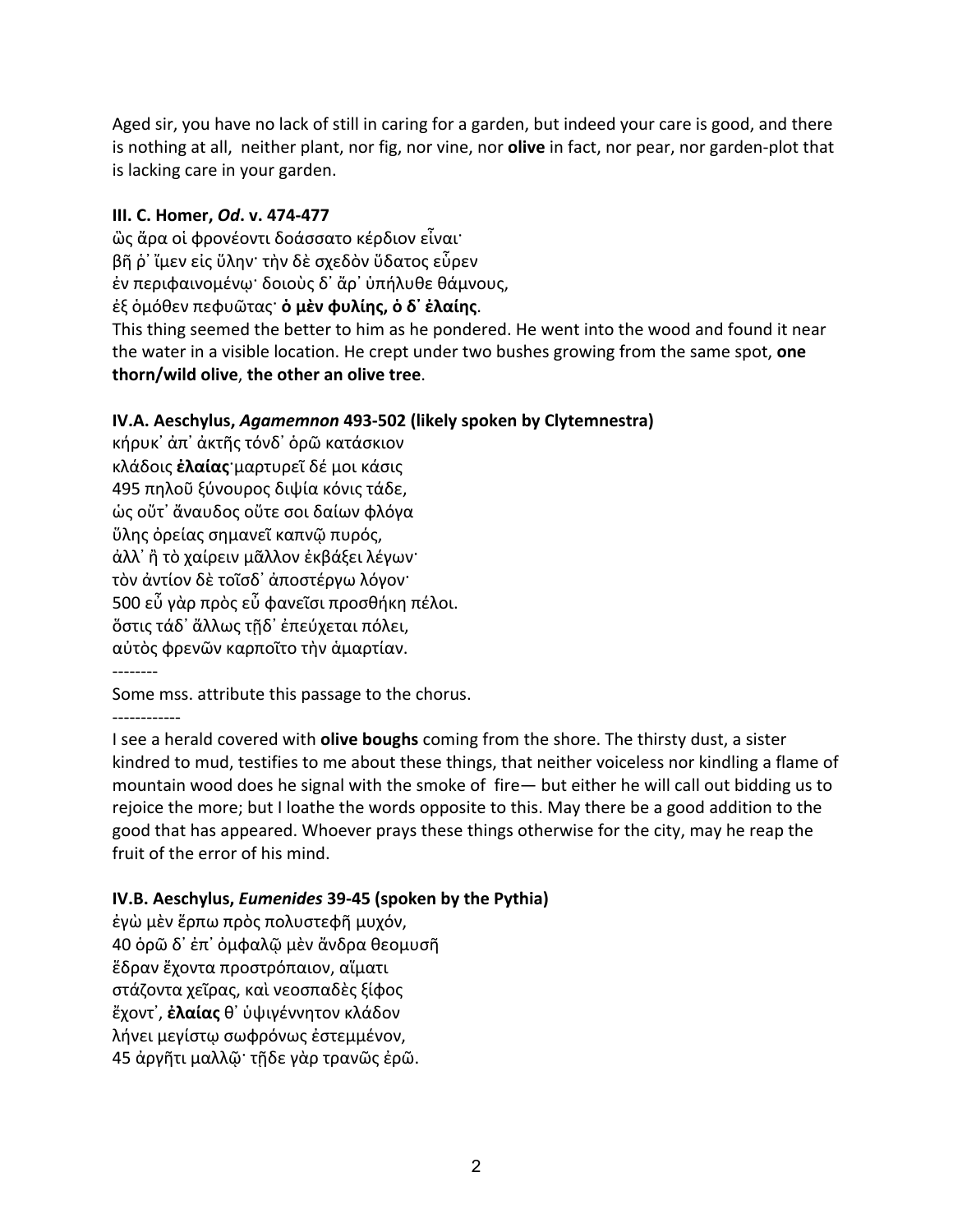Aged sir, you have no lack of still in caring for a garden, but indeed your care is good, and there is nothing at all, neither plant, nor fig, nor vine, nor **olive** in fact, nor pear, nor garden-plot that is lacking care in your garden.

#### **III. C. Homer,** *Od***. v. 474-477**

ὣς ἄρα οἱ φρονέοντι δοάσσατο κέρδιον εἶναι· βῆ ῥ᾽ ἴμεν εἰς ὕλην· τὴν δὲ σχεδὸν ὕδατος εὗρεν ἐν περιφαινομένῳ· δοιοὺς δ᾽ ἄρ᾽ ὑπήλυθε θάμνους, ἐξ ὁμόθεν πεφυῶτας· **ὁ μὲν φυλίης, ὁ δ᾽ ἐλαίης**.

This thing seemed the better to him as he pondered. He went into the wood and found it near the water in a visible location. He crept under two bushes growing from the same spot, **one thorn/wild olive**, **the other an olive tree**.

## **IV.A. Aeschylus,** *Agamemnon* **493-502 (likely spoken by Clytemnestra)**

κήρυκ᾽ ἀπ᾽ ἀκτῆς τόνδ᾽ ὁρῶ κατάσκιον κλάδοις **ἐλαίας**·μαρτυρεῖ δέ μοι κάσις 495 πηλοῦ ξύνουρος διψία κόνις τάδε, ὡς οὔτ᾽ ἄναυδος οὔτε σοι δαίων φλόγα ὕλης ὀρείας σημανεῖ καπνῷ πυρός, ἀλλ᾽ ἢ τὸ χαίρειν μᾶλλον ἐκβάξει λέγων· τὸν ἀντίον δὲ τοῖσδ᾽ ἀποστέργω λόγον· 500 εὖ γὰρ πρὸς εὖ φανεῖσι προσθήκη πέλοι. ὅστις τάδ᾽ ἄλλως τῇδ᾽ ἐπεύχεται πόλει, αὐτὸς φρενῶν καρποῖτο τὴν ἁμαρτίαν. --------

Some mss. attribute this passage to the chorus.

------------

I see a herald covered with **olive boughs** coming from the shore. The thirsty dust, a sister kindred to mud, testifies to me about these things, that neither voiceless nor kindling a flame of mountain wood does he signal with the smoke of fire— but either he will call out bidding us to rejoice the more; but I loathe the words opposite to this. May there be a good addition to the good that has appeared. Whoever prays these things otherwise for the city, may he reap the fruit of the error of his mind.

# **IV.B. Aeschylus,** *Eumenides* **39-45 (spoken by the Pythia)**

ἐγὼ μὲν ἕρπω πρὸς πολυστεφῆ μυχόν, 40 ὁρῶ δ᾽ ἐπ᾽ ὀμφαλῷ μὲν ἄνδρα θεομυσῆ ἕδραν ἔχοντα προστρόπαιον, αἵματι στάζοντα χεῖρας, καὶ νεοσπαδὲς ξίφος ἔχοντ᾽, **ἐλαίας** θ᾽ ὑψιγέννητον κλάδον λήνει μεγίστῳ σωφρόνως ἐστεμμένον, 45 ἀργῆτι μαλλῷ· τῇδε γὰρ τρανῶς ἐρῶ.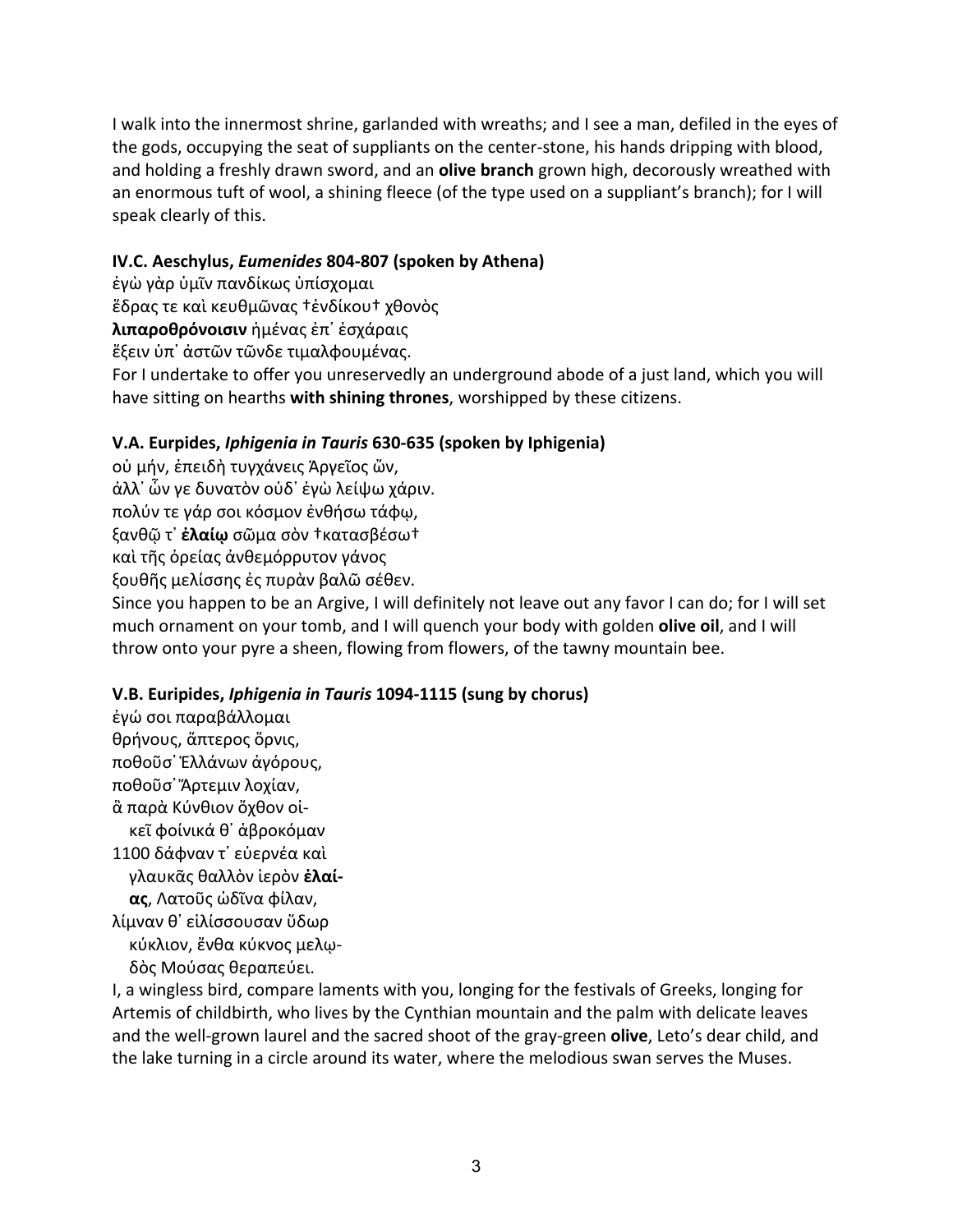I walk into the innermost shrine, garlanded with wreaths; and I see a man, defiled in the eyes of the gods, occupying the seat of suppliants on the center-stone, his hands dripping with blood, and holding a freshly drawn sword, and an **olive branch** grown high, decorously wreathed with an enormous tuft of wool, a shining fleece (of the type used on a suppliant's branch); for I will speak clearly of this.

## **IV.C. Aeschylus,** *Eumenides* **804-807 (spoken by Athena)**

ἐγὼ γὰρ ὑμῖν πανδίκως ὑπίσχομαι

ἕδρας τε καὶ κευθμῶνας †ἐνδίκου† χθονὸς

**λιπαροθρόνοισιν** ἡμένας ἐπ᾽ ἐσχάραις

ἕξειν ὑπ᾽ ἀστῶν τῶνδε τιμαλφουμένας.

For I undertake to offer you unreservedly an underground abode of a just land, which you will have sitting on hearths **with shining thrones**, worshipped by these citizens.

# **V.A. Eurpides,** *Iphigenia in Tauris* **630-635 (spoken by Iphigenia)**

οὐ μήν, ἐπειδὴ τυγχάνεις Ἀργεῖος ὤν,

ἀλλ᾽ ὧν γε δυνατὸν οὐδ᾽ ἐγὼ λείψω χάριν.

πολύν τε γάρ σοι κόσμον ἐνθήσω τάφῳ,

ξανθῷ τ᾽ **ἐλαίῳ** σῶμα σὸν †κατασβέσω†

καὶ τῆς ὀρείας ἀνθεμόρρυτον γάνος

ξουθῆς μελίσσης ἐς πυρὰν βαλῶ σέθεν.

Since you happen to be an Argive, I will definitely not leave out any favor I can do; for I will set much ornament on your tomb, and I will quench your body with golden **olive oil**, and I will throw onto your pyre a sheen, flowing from flowers, of the tawny mountain bee.

# **V.B. Euripides,** *Iphigenia in Tauris* **1094-1115 (sung by chorus)**

ἐγώ σοι παραβάλλομαι θρήνους, ἄπτερος ὅρνις, ποθοῦσ᾽ Ἑλλάνων ἀγόρους, ποθοῦσ᾽ Ἄρτεμιν λοχίαν, ἃ παρὰ Κύνθιον ὄχθον οἰ κεῖ φοίνικά θ᾽ ἁβροκόμαν 1100 δάφναν τ᾽ εὐερνέα καὶ γλαυκᾶς θαλλὸν ἱερὸν **ἐλαί ας**, Λατοῦς ὠδῖνα φίλαν, λίμναν θ᾽ εἱλίσσουσαν ὕδωρ κύκλιον, ἔνθα κύκνος μελῳ-

δὸς Μούσας θεραπεύει.

I, a wingless bird, compare laments with you, longing for the festivals of Greeks, longing for Artemis of childbirth, who lives by the Cynthian mountain and the palm with delicate leaves and the well-grown laurel and the sacred shoot of the gray-green **olive**, Leto's dear child, and the lake turning in a circle around its water, where the melodious swan serves the Muses.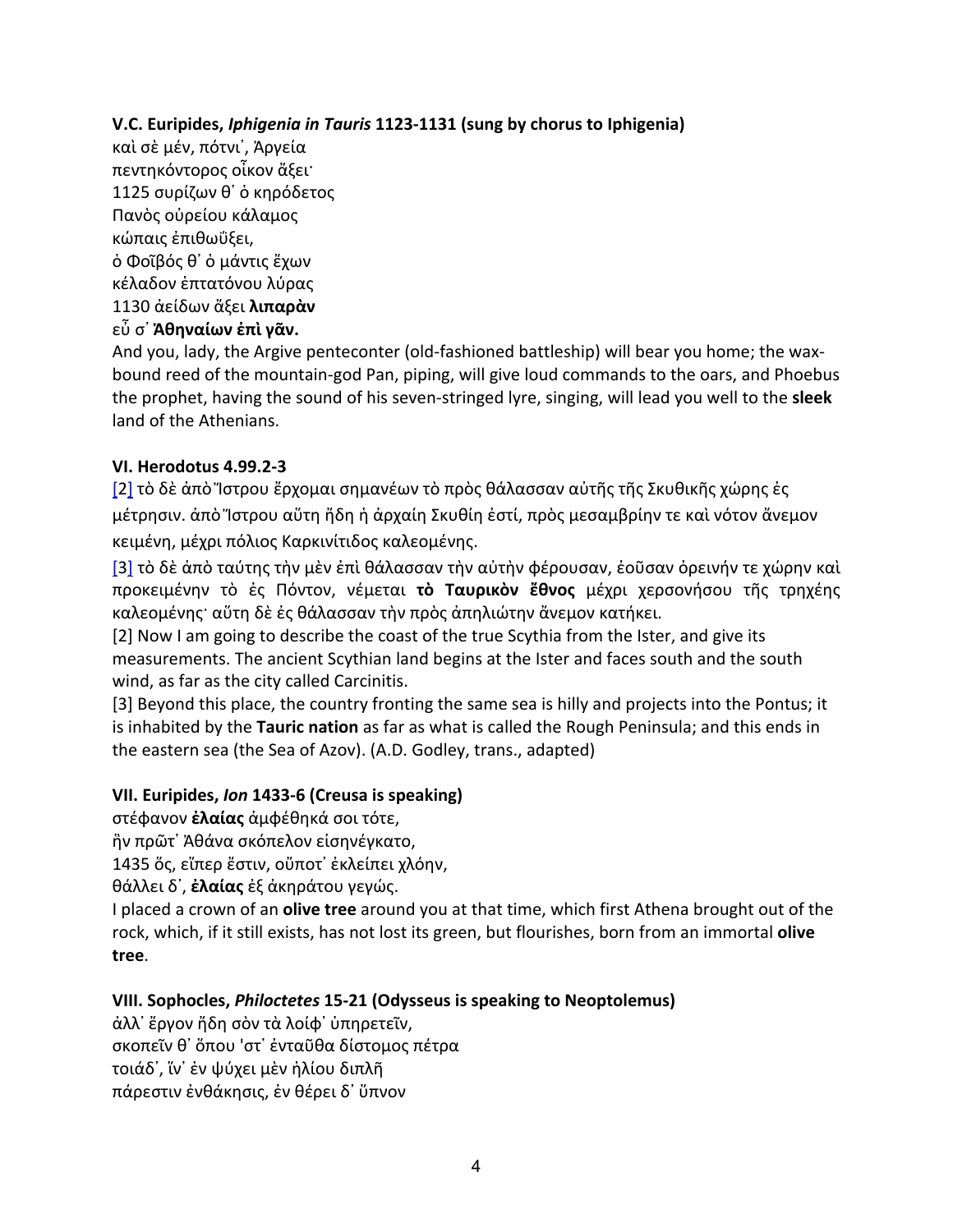**V.C. Euripides,** *Iphigenia in Tauris* **1123-1131 (sung by chorus to Iphigenia)**

καὶ σὲ μέν, πότνι᾽, Ἀργεία πεντηκόντορος οἶκον ἄξει· 1125 συρίζων θ᾽ ὁ κηρόδετος Πανὸς οὐρείου κάλαμος κώπαις ἐπιθωΰξει, ὁ Φοῖβός θ᾽ ὁ μάντις ἔχων κέλαδον ἑπτατόνου λύρας 1130 ἀείδων ἄξει **λιπαρὰν**  εὖ σ᾽ **Ἀθηναίων ἐπὶ γᾶν.**

And you, lady, the Argive penteconter (old-fashioned battleship) will bear you home; the waxbound reed of the mountain-god Pan, piping, will give loud commands to the oars, and Phoebus the prophet, having the sound of his seven-stringed lyre, singing, will lead you well to the **sleek** land of the Athenians.

## **VI. Herodotus 4.99.2-3**

[2] τὸ δὲ ἀπὸ Ἴστρου ἔρχομαι σημανέων τὸ πρὸς θάλασσαν αὐτῆς τῆς Σκυθικῆς χώρης ἐς μέτρησιν. ἀπὸ Ἴστρου αὕτη ἤδη ἡ ἀρχαίη Σκυθίη ἐστί, πρὸς μεσαμβρίην τε καὶ νότον ἄνεμον κειμένη, μέχρι πόλιος Καρκινίτιδος καλεομένης.

[3] τὸ δὲ ἀπὸ ταύτης τὴν μὲν ἐπὶ θάλασσαν τὴν αὐτὴν φέρουσαν, ἐοῦσαν ὀρεινήν τε χώρην καὶ προκειμένην τὸ ἐς Πόντον, νέμεται **τὸ Ταυρικὸν ἔθνος** μέχρι χερσονήσου τῆς τρηχέης καλεομένης· αὕτη δὲ ἐς θάλασσαν τὴν πρὸς ἀπηλιώτην ἄνεμον κατήκει.

[2] Now I am going to describe the coast of the true Scythia from the Ister, and give its measurements. The ancient Scythian land begins at the Ister and faces south and the south wind, as far as the city called Carcinitis.

[3] Beyond this place, the country fronting the same sea is hilly and projects into the Pontus; it is inhabited by the **Tauric nation** as far as what is called the Rough Peninsula; and this ends in the eastern sea (the Sea of Azov). (A.D. Godley, trans., adapted)

## **VII. Euripides,** *Ion* **1433-6 (Creusa is speaking)**

στέφανον **ἐλαίας** ἀμφέθηκά σοι τότε,

ἣν πρῶτ᾽ Ἀθάνα σκόπελον εἰσηνέγκατο,

1435 ὅς, εἴπερ ἔστιν, οὔποτ᾽ ἐκλείπει χλόην,

θάλλει δ᾽, **ἐλαίας** ἐξ ἀκηράτου γεγώς.

I placed a crown of an **olive tree** around you at that time, which first Athena brought out of the rock, which, if it still exists, has not lost its green, but flourishes, born from an immortal **olive tree**.

## **VIII. Sophocles,** *Philoctetes* **15-21 (Odysseus is speaking to Neoptolemus)**

ἀλλ᾽ ἔργον ἤδη σὸν τὰ λοίφ᾽ ὑπηρετεῖν, σκοπεῖν θ᾽ ὅπου 'στ᾽ ἐνταῦθα δίστομος πέτρα τοιάδ᾽, ἵν᾽ ἐν ψύχει μὲν ἡλίου διπλῆ πάρεστιν ἐνθάκησις, ἐν θέρει δ᾽ ὕπνον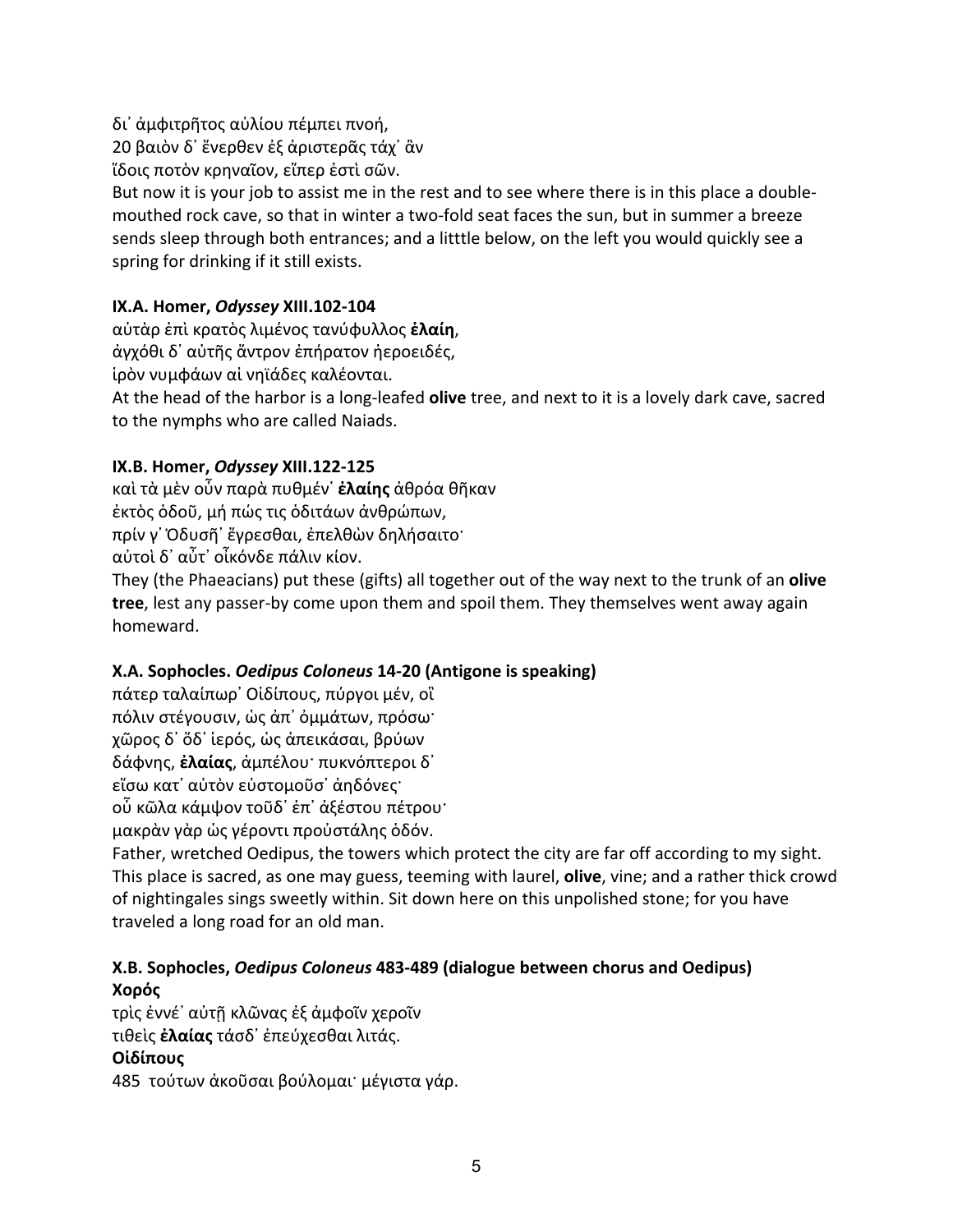δι᾽ ἀμφιτρῆτος αὐλίου πέμπει πνοή,

20 βαιὸν δ᾽ ἔνερθεν ἐξ ἀριστερᾶς τάχ᾽ ἂν

ἴδοις ποτὸν κρηναῖον, εἴπερ ἐστὶ σῶν.

But now it is your job to assist me in the rest and to see where there is in this place a doublemouthed rock cave, so that in winter a two-fold seat faces the sun, but in summer a breeze sends sleep through both entrances; and a litttle below, on the left you would quickly see a spring for drinking if it still exists.

# **IX.A. Homer,** *Odyssey* **XIII.102-104**

αὐτὰρ ἐπὶ κρατὸς λιμένος τανύφυλλος **ἐλαίη**, ἀγχόθι δ᾽ αὐτῆς ἄντρον ἐπήρατον ἠεροειδές, ἱρὸν νυμφάων αἱ νηϊάδες καλέονται. At the head of the harbor is a long-leafed **olive** tree, and next to it is a lovely dark cave, sacred to the nymphs who are called Naiads.

# **IX.B. Homer,** *Odyssey* **XIII.122-125**

καὶ τὰ μὲν οὖν παρὰ πυθμέν᾽ **ἐλαίης** ἀθρόα θῆκαν ἐκτὸς ὁδοῦ, μή πώς τις ὁδιτάων ἀνθρώπων, πρίν γ᾽ Ὀδυσῆ᾽ ἔγρεσθαι, ἐπελθὼν δηλήσαιτο· αὐτοὶ δ᾽ αὖτ᾽ οἶκόνδε πάλιν κίον.

They (the Phaeacians) put these (gifts) all together out of the way next to the trunk of an **olive tree**, lest any passer-by come upon them and spoil them. They themselves went away again homeward.

# **X.A. Sophocles.** *Oedipus Coloneus* **14-20 (Antigone is speaking)**

πάτερ ταλαίπωρ᾽ Οἰδίπους, πύργοι μέν, οἳ πόλιν στέγουσιν, ὡς ἀπ᾽ ὀμμάτων, πρόσω· χῶρος δ᾽ ὅδ᾽ ἱερός, ὡς ἀπεικάσαι, βρύων δάφνης, **ἐλαίας**, ἀμπέλου· πυκνόπτεροι δ᾽ εἴσω κατ᾽ αὐτὸν εὐστομοῦσ᾽ ἀηδόνες· οὗ κῶλα κάμψον τοῦδ᾽ ἐπ᾽ ἀξέστου πέτρου· μακρὰν γὰρ ὡς γέροντι προὐστάλης ὁδόν.

Father, wretched Oedipus, the towers which protect the city are far off according to my sight. This place is sacred, as one may guess, teeming with laurel, **olive**, vine; and a rather thick crowd of nightingales sings sweetly within. Sit down here on this unpolished stone; for you have traveled a long road for an old man.

# **X.B. Sophocles,** *Oedipus Coloneus* **483-489 (dialogue between chorus and Oedipus) Χορός**

τρὶς ἐννέ᾽ αὐτῇ κλῶνας ἐξ ἀμφοῖν χεροῖν τιθεὶς **ἐλαίας** τάσδ᾽ ἐπεύχεσθαι λιτάς. **Οἰδίπους**

485 τούτων ἀκοῦσαι βούλομαι· μέγιστα γάρ.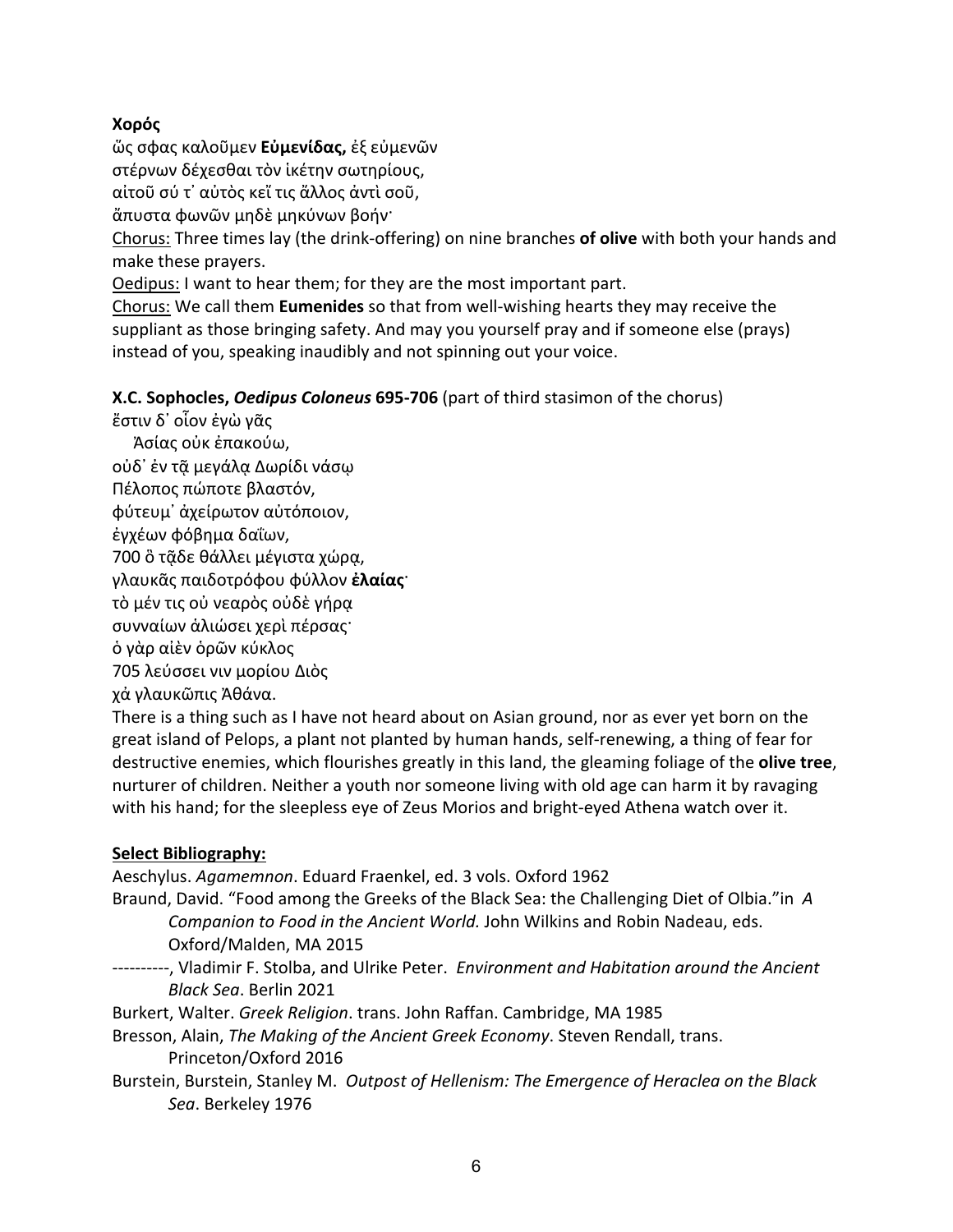# **Χορός**

ὥς σφας καλοῦμεν **Εὐμενίδας,** ἐξ εὐμενῶν

στέρνων δέχεσθαι τὸν ἱκέτην σωτηρίους,

αἰτοῦ σύ τ᾽ αὐτὸς κεἴ τις ἄλλος ἀντὶ σοῦ,

ἄπυστα φωνῶν μηδὲ μηκύνων βοήν·

Chorus: Three times lay (the drink-offering) on nine branches **of olive** with both your hands and make these prayers.

Oedipus: I want to hear them; for they are the most important part.

Chorus: We call them **Eumenides** so that from well-wishing hearts they may receive the suppliant as those bringing safety. And may you yourself pray and if someone else (prays) instead of you, speaking inaudibly and not spinning out your voice.

# **X.C. Sophocles,** *Oedipus Coloneus* **695-706** (part of third stasimon of the chorus)

ἔστιν δ᾽ οἷον ἐγὼ γᾶς

Ἀσίας οὐκ ἐπακούω,

οὐδ᾽ ἐν τᾷ μεγάλᾳ Δωρίδι νάσῳ

Πέλοπος πώποτε βλαστόν,

φύτευμ᾽ ἀχείρωτον αὐτόποιον,

ἐγχέων φόβημα δαΐων,

700 ὃ τᾷδε θάλλει μέγιστα χώρᾳ,

γλαυκᾶς παιδοτρόφου φύλλον **ἐλαίας**·

τὸ μέν τις οὐ νεαρὸς οὐδὲ γήρᾳ

συνναίων ἁλιώσει χερὶ πέρσας·

ὁ γὰρ αἰὲν ὁρῶν κύκλος

705 λεύσσει νιν μορίου Διὸς

χἀ γλαυκῶπις Ἀθάνα.

There is a thing such as I have not heard about on Asian ground, nor as ever yet born on the great island of Pelops, a plant not planted by human hands, self-renewing, a thing of fear for destructive enemies, which flourishes greatly in this land, the gleaming foliage of the **olive tree**, nurturer of children. Neither a youth nor someone living with old age can harm it by ravaging with his hand; for the sleepless eye of Zeus Morios and bright-eyed Athena watch over it.

# **Select Bibliography:**

Aeschylus. *Agamemnon*. Eduard Fraenkel, ed. 3 vols. Oxford 1962

Braund, David. "Food among the Greeks of the Black Sea: the Challenging Diet of Olbia."in *A Companion to Food in the Ancient World.* John Wilkins and Robin Nadeau, eds.

Oxford/Malden, MA 2015

----------, Vladimir F. Stolba, and Ulrike Peter. *Environment and Habitation around the Ancient Black Sea*. Berlin 2021

Burkert, Walter. *Greek Religion*. trans. John Raffan. Cambridge, MA 1985

Bresson, Alain, *The Making of the Ancient Greek Economy*. Steven Rendall, trans. Princeton/Oxford 2016

Burstein, Burstein, Stanley M. *Outpost of Hellenism: The Emergence of Heraclea on the Black Sea*. Berkeley 1976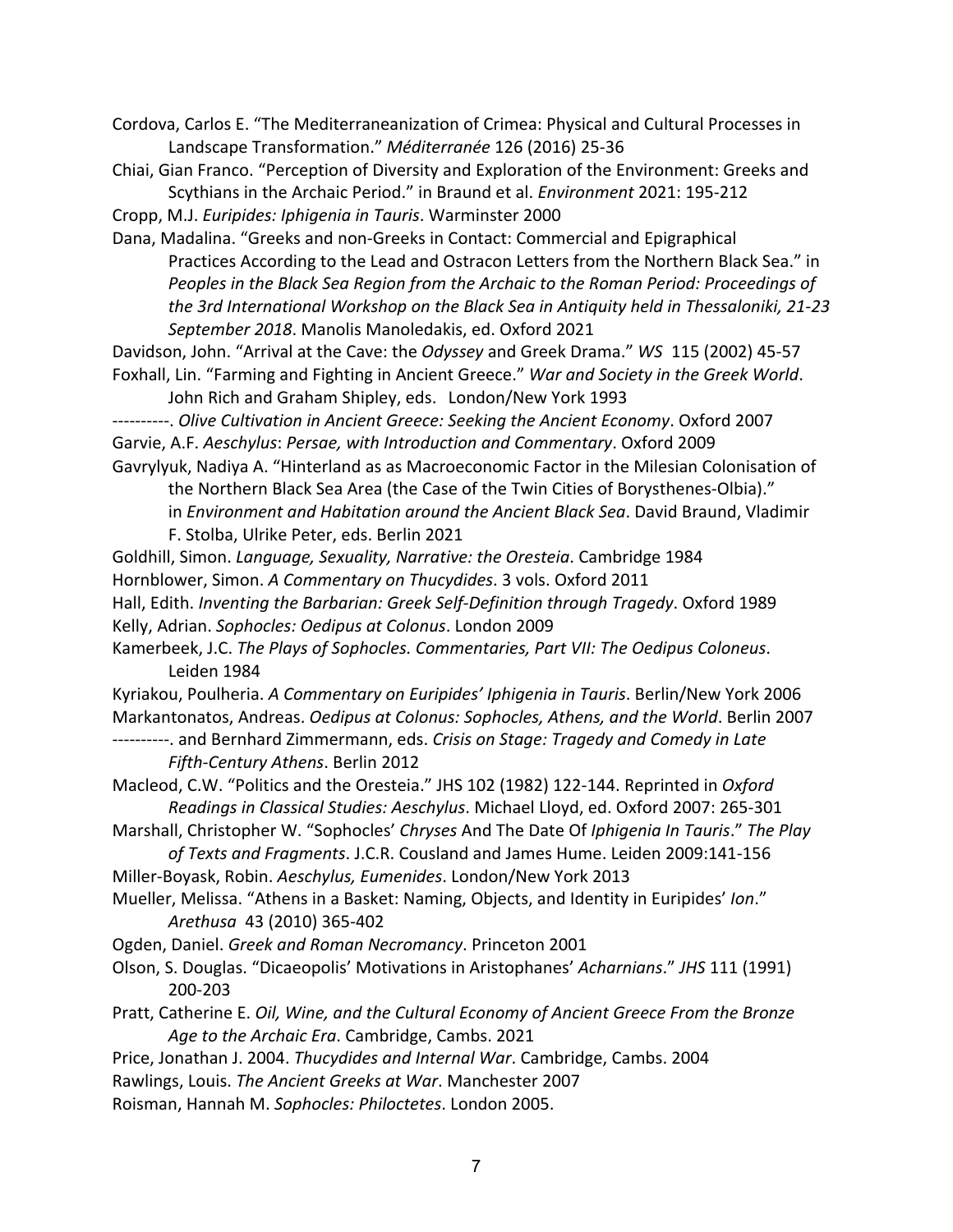Cordova, Carlos E. "The Mediterraneanization of Crimea: Physical and Cultural Processes in Landscape Transformation." *Méditerranée* 126 (2016) 25-36

Chiai, Gian Franco. "Perception of Diversity and Exploration of the Environment: Greeks and Scythians in the Archaic Period." in Braund et al. *Environment* 2021: 195-212

Cropp, M.J. *Euripides: Iphigenia in Tauris*. Warminster 2000

Dana, Madalina. "Greeks and non-Greeks in Contact: Commercial and Epigraphical Practices According to the Lead and Ostracon Letters from the Northern Black Sea." in *Peoples in the Black Sea Region from the Archaic to the Roman Period: Proceedings of the 3rd International Workshop on the Black Sea in Antiquity held in Thessaloniki, 21-23 September 2018*. Manolis Manoledakis, ed. Oxford 2021

Davidson, John. "Arrival at the Cave: the *Odyssey* and Greek Drama." *WS* 115 (2002) 45-57

Foxhall, Lin. "Farming and Fighting in Ancient Greece." *War and Society in the Greek World*. John Rich and Graham Shipley, eds. London/New York 1993

----------. *Olive Cultivation in Ancient Greece: Seeking the Ancient Economy*. Oxford 2007 Garvie, A.F. *Aeschylus*: *Persae, with Introduction and Commentary*. Oxford 2009

Gavrylyuk, Nadiya A. "Hinterland as as Macroeconomic Factor in the Milesian Colonisation of the Northern Black Sea Area (the Case of the Twin Cities of Borysthenes-Olbia)."

in *Environment and Habitation around the Ancient Black Sea*. David Braund, Vladimir F. Stolba, Ulrike Peter, eds. Berlin 2021

Goldhill, Simon. *Language, Sexuality, Narrative: the Oresteia*. Cambridge 1984

Hornblower, Simon. *A Commentary on Thucydides*. 3 vols. Oxford 2011

Hall, Edith. *Inventing the Barbarian: Greek Self-Definition through Tragedy*. Oxford 1989 Kelly, Adrian. *Sophocles: Oedipus at Colonus*. London 2009

Kamerbeek, J.C. *The Plays of Sophocles. Commentaries, Part VII: The Oedipus Coloneus*. Leiden 1984

Kyriakou, Poulheria. *A Commentary on Euripides' Iphigenia in Tauris*. Berlin/New York 2006 Markantonatos, Andreas. *Oedipus at Colonus: Sophocles, Athens, and the World*. Berlin 2007

----------. and Bernhard Zimmermann, eds. *Crisis on Stage: Tragedy and Comedy in Late Fifth-Century Athens*. Berlin 2012

Macleod, C.W. "Politics and the Oresteia." JHS 102 (1982) 122-144. Reprinted in *Oxford Readings in Classical Studies: Aeschylus*. Michael Lloyd, ed. Oxford 2007: 265-301

Marshall, Christopher W. "Sophocles' *Chryses* And The Date Of *Iphigenia In Tauris*." *The Play*

*of Texts and Fragments*. J.C.R. Cousland and James Hume. Leiden 2009:141-156 Miller-Boyask, Robin. *Aeschylus, Eumenides*. London/New York 2013

Mueller, Melissa. "Athens in a Basket: Naming, Objects, and Identity in Euripides' *Ion*." *Arethusa* 43 (2010) 365-402

Ogden, Daniel. *Greek and Roman Necromancy*. Princeton 2001

Olson, S. Douglas. "Dicaeopolis' Motivations in Aristophanes' *Acharnians*." *JHS* 111 (1991) 200-203

Pratt, Catherine E. *Oil, Wine, and the Cultural Economy of Ancient Greece From the Bronze Age to the Archaic Era*. Cambridge, Cambs. 2021

Price, Jonathan J. 2004. *Thucydides and Internal War*. Cambridge, Cambs. 2004

Rawlings, Louis. *The Ancient Greeks at War*. Manchester 2007

Roisman, Hannah M. *Sophocles: Philoctetes*. London 2005.